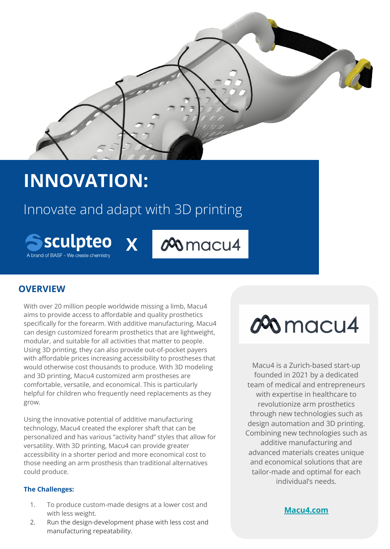

## **INNOVATION:**

### Innovate and adapt with 3D printing

**X**

**Sculpteo** A brand of BASF - We create chemistr

00 macu4

### **OVERVIEW**

With over 20 million people worldwide missing a limb, Macu4 aims to provide access to affordable and quality prosthetics specifically for the forearm. With additive manufacturing, Macu4 can design customized forearm prosthetics that are lightweight, modular, and suitable for all activities that matter to people. Using 3D printing, they can also provide out-of-pocket payers with affordable prices increasing accessibility to prostheses that would otherwise cost thousands to produce. With 3D modeling and 3D printing, Macu4 customized arm prostheses are comfortable, versatile, and economical. This is particularly helpful for children who frequently need replacements as they grow.

Using the innovative potential of additive manufacturing technology, Macu4 created the explorer shaft that can be personalized and has various "activity hand" styles that allow for versatility. With 3D printing, Macu4 can provide greater accessibility in a shorter period and more economical cost to those needing an arm prosthesis than traditional alternatives could produce.

#### **The Challenges:**

- 1. To produce custom-made designs at a lower cost and with less weight.
- 2. Run the design-development phase with less cost and manufacturing repeatability.

# 000 macu4

Macu4 is a Zurich-based start-up founded in 2021 by a dedicated team of medical and entrepreneurs with expertise in healthcare to revolutionize arm prosthetics through new technologies such as design automation and 3D printing. Combining new technologies such as additive manufacturing and advanced materials creates unique and economical solutions that are tailor-made and optimal for each individual's needs.

**[Macu4.com](https://macu4.com/?lang=en)**